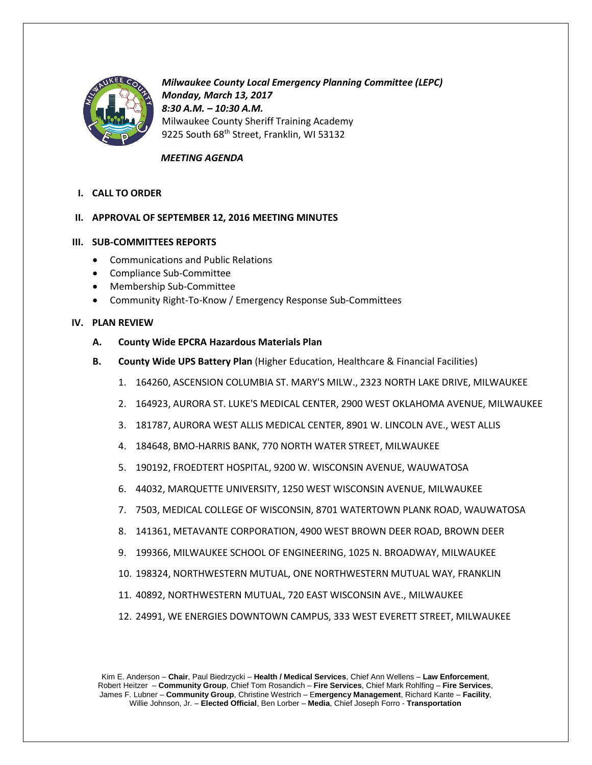

*Milwaukee County Local Emergency Planning Committee (LEPC) Monday, March 13, 2017 8:30 A.M. – 10:30 A.M.* Milwaukee County Sheriff Training Academy 9225 South 68<sup>th</sup> Street, Franklin, WI 53132

# *MEETING AGENDA*

**I. CALL TO ORDER**

# **II. APPROVAL OF SEPTEMBER 12, 2016 MEETING MINUTES**

## **III. SUB-COMMITTEES REPORTS**

- Communications and Public Relations
- Compliance Sub-Committee
- Membership Sub-Committee
- Community Right-To-Know / Emergency Response Sub-Committees

## **IV. PLAN REVIEW**

- **A. County Wide EPCRA Hazardous Materials Plan**
- **B. County Wide UPS Battery Plan** (Higher Education, Healthcare & Financial Facilities)
	- 1. 164260, ASCENSION COLUMBIA ST. MARY'S MILW., 2323 NORTH LAKE DRIVE, MILWAUKEE
	- 2. 164923, AURORA ST. LUKE'S MEDICAL CENTER, 2900 WEST OKLAHOMA AVENUE, MILWAUKEE
	- 3. 181787, AURORA WEST ALLIS MEDICAL CENTER, 8901 W. LINCOLN AVE., WEST ALLIS
	- 4. 184648, BMO-HARRIS BANK, 770 NORTH WATER STREET, MILWAUKEE
	- 5. 190192, FROEDTERT HOSPITAL, 9200 W. WISCONSIN AVENUE, WAUWATOSA
	- 6. 44032, MARQUETTE UNIVERSITY, 1250 WEST WISCONSIN AVENUE, MILWAUKEE
	- 7. 7503, MEDICAL COLLEGE OF WISCONSIN, 8701 WATERTOWN PLANK ROAD, WAUWATOSA
	- 8. 141361, METAVANTE CORPORATION, 4900 WEST BROWN DEER ROAD, BROWN DEER
	- 9. 199366, MILWAUKEE SCHOOL OF ENGINEERING, 1025 N. BROADWAY, MILWAUKEE
	- 10. 198324, NORTHWESTERN MUTUAL, ONE NORTHWESTERN MUTUAL WAY, FRANKLIN
	- 11. 40892, NORTHWESTERN MUTUAL, 720 EAST WISCONSIN AVE., MILWAUKEE
	- 12. 24991, WE ENERGIES DOWNTOWN CAMPUS, 333 WEST EVERETT STREET, MILWAUKEE

Kim E. Anderson – **Chair**, Paul Biedrzycki – **Health / Medical Services**, Chief Ann Wellens – **Law Enforcement**, Robert Heitzer – **Community Group**, Chief Tom Rosandich – **Fire Services**, Chief Mark Rohlfing – **Fire Services**, James F. Lubner – **Community Group**, Christine Westrich – E**mergency Management**, Richard Kante – **Facility**, Willie Johnson, Jr. – **Elected Official**, Ben Lorber – **Media**, Chief Joseph Forro - **Transportation**